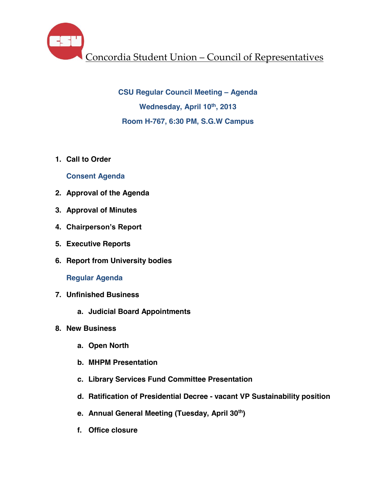Concordia Student Union – Council of Representatives

**CSU Regular Council Meeting – Agenda Wednesday, April 10th, 2013 Room H-767, 6:30 PM, S.G.W Campus**

**1. Call to Order**

# **Consent Agenda**

- **2. Approval of the Agenda**
- **3. Approval of Minutes**
- **4. Chairperson's Report**
- **5. Executive Reports**
- **6. Report from University bodies**

**Regular Agenda**

- **7. Unfinished Business**
	- **a. Judicial Board Appointments**
- **8. New Business**
	- **a. Open North**
	- **b. MHPM Presentation**
	- **c. Library Services Fund Committee Presentation**
	- **d. Ratification of Presidential Decree - vacant VP Sustainability position**
	- **e. Annual General Meeting (Tuesday, April 30th)**
	- **f. Office closure**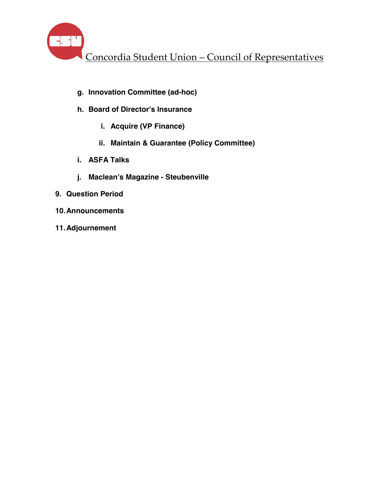Concordia Student Union – Council of Representatives

- **g. Innovation Committee (ad-hoc)**
- **h. Board of Director's Insurance**
	- **i. Acquire (VP Finance)**
	- **ii. Maintain & Guarantee (Policy Committee)**
- **i. ASFA Talks**
- **j. Maclean's Magazine - Steubenville**
- **9. Question Period**
- **10.Announcements**
- **11.Adjournement**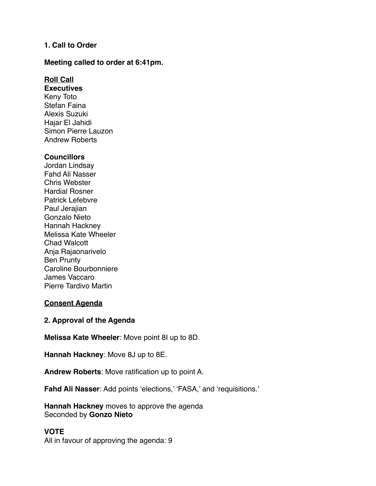# **1. Call to Order**

### **Meeting called to order at 6:41pm.**

# **Roll Call**

**Executives**  Keny Toto Stefan Faina Alexis Suzuki Hajar El Jahidi Simon Pierre Lauzon Andrew Roberts

### **Councillors**

Jordan Lindsay Fahd Ali Nasser Chris Webster Hardial Rosner Patrick Lefebvre Paul Jerajian Gonzalo Nieto Hannah Hackney Melissa Kate Wheeler Chad Walcott Anja Rajaonarivelo Ben Prunty Caroline Bourbonniere James Vaccaro Pierre Tardivo Martin

## **Consent Agenda**

## **2. Approval of the Agenda**

**Melissa Kate Wheeler**: Move point 8I up to 8D.

**Hannah Hackney**: Move 8J up to 8E.

**Andrew Roberts**: Move ratification up to point A.

**Fahd Ali Nasser**: Add points 'elections,' 'FASA,' and 'requisitions.'

**Hannah Hackney** moves to approve the agenda Seconded by **Gonzo Nieto**

## **VOTE**

All in favour of approving the agenda: 9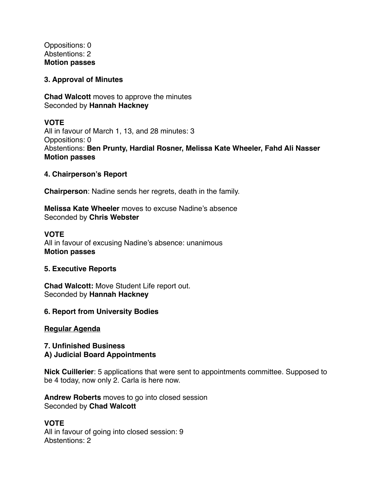Oppositions: 0 Abstentions: 2 **Motion passes** 

### **3. Approval of Minutes**

**Chad Walcott** moves to approve the minutes Seconded by **Hannah Hackney**

## **VOTE**

All in favour of March 1, 13, and 28 minutes: 3 Oppositions: 0 Abstentions: **Ben Prunty, Hardial Rosner, Melissa Kate Wheeler, Fahd Ali Nasser Motion passes** 

### **4. Chairperson's Report**

**Chairperson**: Nadine sends her regrets, death in the family.

**Melissa Kate Wheeler** moves to excuse Nadine's absence Seconded by **Chris Webster** 

#### **VOTE**

All in favour of excusing Nadine's absence: unanimous **Motion passes** 

#### **5. Executive Reports**

**Chad Walcott:** Move Student Life report out. Seconded by **Hannah Hackney** 

#### **6. Report from University Bodies**

#### **Regular Agenda**

### **7. Unfinished Business A) Judicial Board Appointments**

**Nick Cuillerier**: 5 applications that were sent to appointments committee. Supposed to be 4 today, now only 2. Carla is here now.

**Andrew Roberts** moves to go into closed session Seconded by **Chad Walcott**

### **VOTE** All in favour of going into closed session: 9 Abstentions: 2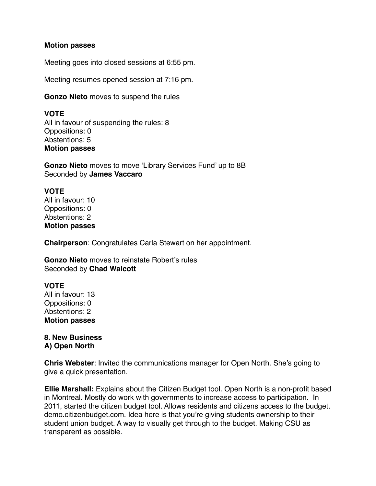### **Motion passes**

Meeting goes into closed sessions at 6:55 pm.

Meeting resumes opened session at 7:16 pm.

**Gonzo Nieto** moves to suspend the rules

# **VOTE**

All in favour of suspending the rules: 8 Oppositions: 0 Abstentions: 5 **Motion passes** 

**Gonzo Nieto** moves to move 'Library Services Fund' up to 8B Seconded by **James Vaccaro** 

# **VOTE**

All in favour: 10 Oppositions: 0 Abstentions: 2 **Motion passes** 

**Chairperson**: Congratulates Carla Stewart on her appointment.

**Gonzo Nieto** moves to reinstate Robert's rules Seconded by **Chad Walcott**

# **VOTE**

All in favour: 13 Oppositions: 0 Abstentions: 2 **Motion passes** 

# **8. New Business A) Open North**

**Chris Webster**: Invited the communications manager for Open North. She's going to give a quick presentation.

**Ellie Marshall:** Explains about the Citizen Budget tool. Open North is a non-profit based in Montreal. Mostly do work with governments to increase access to participation. In 2011, started the citizen budget tool. Allows residents and citizens access to the budget. demo.citizenbudget.com. Idea here is that you're giving students ownership to their student union budget. A way to visually get through to the budget. Making CSU as transparent as possible.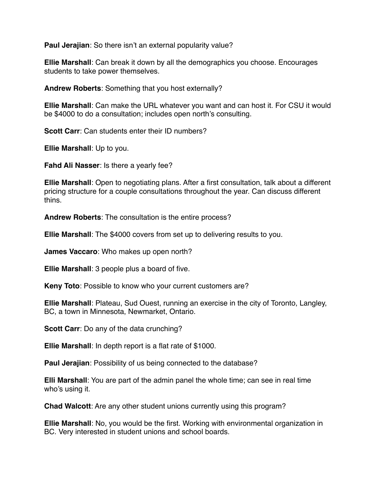**Paul Jerajian**: So there isn't an external popularity value?

**Ellie Marshall**: Can break it down by all the demographics you choose. Encourages students to take power themselves.

**Andrew Roberts**: Something that you host externally?

**Ellie Marshall**: Can make the URL whatever you want and can host it. For CSU it would be \$4000 to do a consultation; includes open north's consulting.

**Scott Carr:** Can students enter their ID numbers?

**Ellie Marshall**: Up to you.

**Fahd Ali Nasser**: Is there a yearly fee?

**Ellie Marshall**: Open to negotiating plans. After a first consultation, talk about a different pricing structure for a couple consultations throughout the year. Can discuss different thins.

**Andrew Roberts**: The consultation is the entire process?

**Ellie Marshall**: The \$4000 covers from set up to delivering results to you.

**James Vaccaro**: Who makes up open north?

**Ellie Marshall**: 3 people plus a board of five.

**Keny Toto**: Possible to know who your current customers are?

**Ellie Marshall**: Plateau, Sud Ouest, running an exercise in the city of Toronto, Langley, BC, a town in Minnesota, Newmarket, Ontario.

**Scott Carr:** Do any of the data crunching?

**Ellie Marshall**: In depth report is a flat rate of \$1000.

**Paul Jerajian**: Possibility of us being connected to the database?

**Elli Marshall**: You are part of the admin panel the whole time; can see in real time who's using it.

**Chad Walcott**: Are any other student unions currently using this program?

**Ellie Marshall**: No, you would be the first. Working with environmental organization in BC. Very interested in student unions and school boards.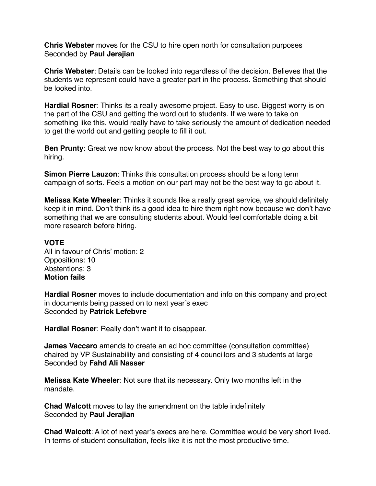**Chris Webster** moves for the CSU to hire open north for consultation purposes Seconded by **Paul Jerajian** 

**Chris Webster**: Details can be looked into regardless of the decision. Believes that the students we represent could have a greater part in the process. Something that should be looked into.

**Hardial Rosner**: Thinks its a really awesome project. Easy to use. Biggest worry is on the part of the CSU and getting the word out to students. If we were to take on something like this, would really have to take seriously the amount of dedication needed to get the world out and getting people to fill it out.

**Ben Prunty**: Great we now know about the process. Not the best way to go about this hiring.

**Simon Pierre Lauzon**: Thinks this consultation process should be a long term campaign of sorts. Feels a motion on our part may not be the best way to go about it.

**Melissa Kate Wheeler**: Thinks it sounds like a really great service, we should definitely keep it in mind. Don't think its a good idea to hire them right now because we don't have something that we are consulting students about. Would feel comfortable doing a bit more research before hiring.

## **VOTE**

All in favour of Chris' motion: 2 Oppositions: 10 Abstentions: 3 **Motion fails** 

**Hardial Rosner** moves to include documentation and info on this company and project in documents being passed on to next year's exec Seconded by **Patrick Lefebvre** 

**Hardial Rosner**: Really don't want it to disappear.

**James Vaccaro** amends to create an ad hoc committee (consultation committee) chaired by VP Sustainability and consisting of 4 councillors and 3 students at large Seconded by **Fahd Ali Nasser**

**Melissa Kate Wheeler**: Not sure that its necessary. Only two months left in the mandate.

**Chad Walcott** moves to lay the amendment on the table indefinitely Seconded by **Paul Jerajian** 

**Chad Walcott**: A lot of next year's execs are here. Committee would be very short lived. In terms of student consultation, feels like it is not the most productive time.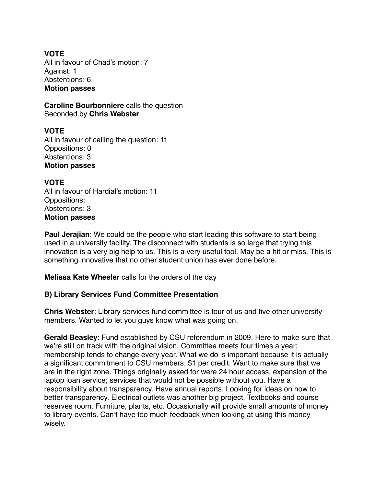# **VOTE**

All in favour of Chad's motion: 7 Against: 1 Abstentions: 6 **Motion passes** 

**Caroline Bourbonniere** calls the question Seconded by **Chris Webster** 

**VOTE** All in favour of calling the question: 11 Oppositions: 0 Abstentions: 3 **Motion passes** 

**VOTE** All in favour of Hardial's motion: 11 Oppositions: Abstentions: 3 **Motion passes** 

**Paul Jerajian**: We could be the people who start leading this software to start being used in a university facility. The disconnect with students is so large that trying this innovation is a very big help to us. This is a very useful tool. May be a hit or miss. This is something innovative that no other student union has ever done before.

**Melissa Kate Wheeler** calls for the orders of the day

# **B) Library Services Fund Committee Presentation**

**Chris Webster**: Library services fund committee is four of us and five other university members. Wanted to let you guys know what was going on.

**Gerald Beasley**: Fund established by CSU referendum in 2009. Here to make sure that we're still on track with the original vision. Committee meets four times a year; membership tends to change every year. What we do is important because it is actually a significant commitment to CSU members; \$1 per credit. Want to make sure that we are in the right zone. Things originally asked for were 24 hour access, expansion of the laptop loan service; services that would not be possible without you. Have a responsibility about transparency. Have annual reports. Looking for ideas on how to better transparency. Electrical outlets was another big project. Textbooks and course reserves room. Furniture, plants, etc. Occasionally will provide small amounts of money to library events. Can't have too much feedback when looking at using this money wisely.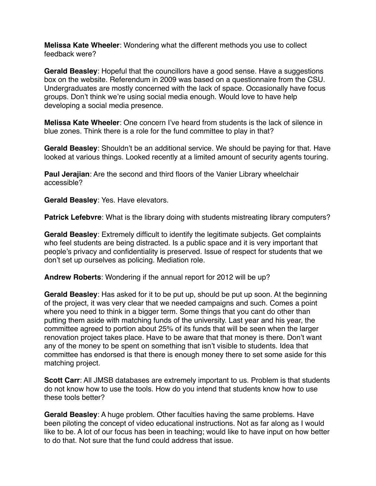**Melissa Kate Wheeler**: Wondering what the different methods you use to collect feedback were?

**Gerald Beasley**: Hopeful that the councillors have a good sense. Have a suggestions box on the website. Referendum in 2009 was based on a questionnaire from the CSU. Undergraduates are mostly concerned with the lack of space. Occasionally have focus groups. Don't think we're using social media enough. Would love to have help developing a social media presence.

**Melissa Kate Wheeler**: One concern I've heard from students is the lack of silence in blue zones. Think there is a role for the fund committee to play in that?

**Gerald Beasley**: Shouldn't be an additional service. We should be paying for that. Have looked at various things. Looked recently at a limited amount of security agents touring.

**Paul Jerajian**: Are the second and third floors of the Vanier Library wheelchair accessible?

**Gerald Beasley**: Yes. Have elevators.

**Patrick Lefebvre**: What is the library doing with students mistreating library computers?

**Gerald Beasley**: Extremely difficult to identify the legitimate subjects. Get complaints who feel students are being distracted. Is a public space and it is very important that people's privacy and confidentiality is preserved. Issue of respect for students that we don't set up ourselves as policing. Mediation role.

**Andrew Roberts**: Wondering if the annual report for 2012 will be up?

**Gerald Beasley**: Has asked for it to be put up, should be put up soon. At the beginning of the project, it was very clear that we needed campaigns and such. Comes a point where you need to think in a bigger term. Some things that you cant do other than putting them aside with matching funds of the university. Last year and his year, the committee agreed to portion about 25% of its funds that will be seen when the larger renovation project takes place. Have to be aware that that money is there. Don't want any of the money to be spent on something that isn't visible to students. Idea that committee has endorsed is that there is enough money there to set some aside for this matching project.

**Scott Carr**: All JMSB databases are extremely important to us. Problem is that students do not know how to use the tools. How do you intend that students know how to use these tools better?

**Gerald Beasley**: A huge problem. Other faculties having the same problems. Have been piloting the concept of video educational instructions. Not as far along as I would like to be. A lot of our focus has been in teaching; would like to have input on how better to do that. Not sure that the fund could address that issue.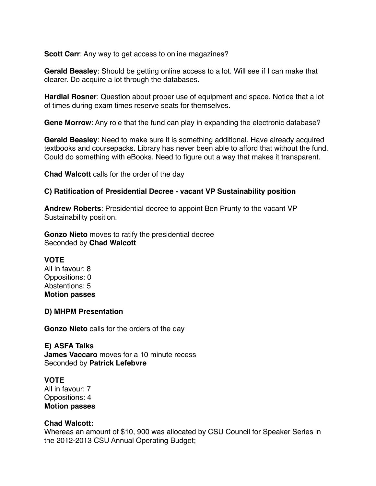**Scott Carr:** Any way to get access to online magazines?

**Gerald Beasley**: Should be getting online access to a lot. Will see if I can make that clearer. Do acquire a lot through the databases.

**Hardial Rosner**: Question about proper use of equipment and space. Notice that a lot of times during exam times reserve seats for themselves.

**Gene Morrow**: Any role that the fund can play in expanding the electronic database?

**Gerald Beasley**: Need to make sure it is something additional. Have already acquired textbooks and coursepacks. Library has never been able to afford that without the fund. Could do something with eBooks. Need to figure out a way that makes it transparent.

**Chad Walcott** calls for the order of the day

## **C) Ratification of Presidential Decree - vacant VP Sustainability position**

**Andrew Roberts**: Presidential decree to appoint Ben Prunty to the vacant VP Sustainability position.

**Gonzo Nieto** moves to ratify the presidential decree Seconded by **Chad Walcott**

## **VOTE**

All in favour: 8 Oppositions: 0 Abstentions: 5 **Motion passes**

#### **D) MHPM Presentation**

**Gonzo Nieto** calls for the orders of the day

**E) ASFA Talks James Vaccaro** moves for a 10 minute recess Seconded by **Patrick Lefebvre**

## **VOTE**

All in favour: 7 Oppositions: 4 **Motion passes** 

## **Chad Walcott:**

Whereas an amount of \$10, 900 was allocated by CSU Council for Speaker Series in the 2012-2013 CSU Annual Operating Budget;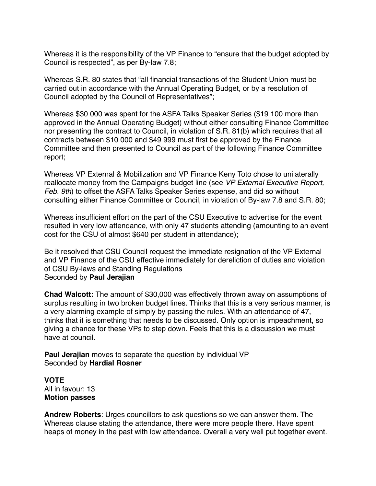Whereas it is the responsibility of the VP Finance to "ensure that the budget adopted by Council is respected", as per By-law 7.8;

Whereas S.R. 80 states that "all financial transactions of the Student Union must be carried out in accordance with the Annual Operating Budget, or by a resolution of Council adopted by the Council of Representatives";

Whereas \$30 000 was spent for the ASFA Talks Speaker Series (\$19 100 more than approved in the Annual Operating Budget) without either consulting Finance Committee nor presenting the contract to Council, in violation of S.R. 81(b) which requires that all contracts between \$10 000 and \$49 999 must first be approved by the Finance Committee and then presented to Council as part of the following Finance Committee report;

Whereas VP External & Mobilization and VP Finance Keny Toto chose to unilaterally reallocate money from the Campaigns budget line (see *VP External Executive Report, Feb. 9th*) to offset the ASFA Talks Speaker Series expense, and did so without consulting either Finance Committee or Council, in violation of By-law 7.8 and S.R. 80;

Whereas insufficient effort on the part of the CSU Executive to advertise for the event resulted in very low attendance, with only 47 students attending (amounting to an event cost for the CSU of almost \$640 per student in attendance);

Be it resolved that CSU Council request the immediate resignation of the VP External and VP Finance of the CSU effective immediately for dereliction of duties and violation of CSU By-laws and Standing Regulations Seconded by **Paul Jerajian** 

**Chad Walcott:** The amount of \$30,000 was effectively thrown away on assumptions of surplus resulting in two broken budget lines. Thinks that this is a very serious manner, is a very alarming example of simply by passing the rules. With an attendance of 47, thinks that it is something that needs to be discussed. Only option is impeachment, so giving a chance for these VPs to step down. Feels that this is a discussion we must have at council.

**Paul Jerajian** moves to separate the question by individual VP Seconded by **Hardial Rosner** 

**VOTE** All in favour: 13 **Motion passes** 

**Andrew Roberts**: Urges councillors to ask questions so we can answer them. The Whereas clause stating the attendance, there were more people there. Have spent heaps of money in the past with low attendance. Overall a very well put together event.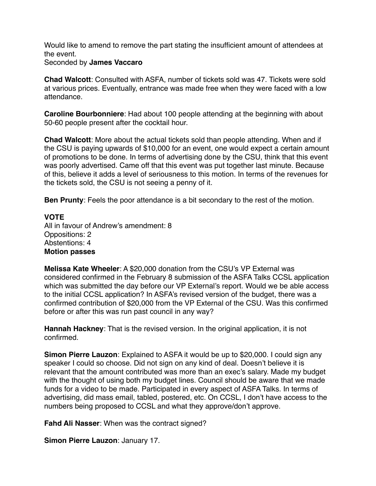Would like to amend to remove the part stating the insufficient amount of attendees at the event.

Seconded by **James Vaccaro** 

**Chad Walcott**: Consulted with ASFA, number of tickets sold was 47. Tickets were sold at various prices. Eventually, entrance was made free when they were faced with a low attendance.

**Caroline Bourbonniere**: Had about 100 people attending at the beginning with about 50-60 people present after the cocktail hour.

**Chad Walcott**: More about the actual tickets sold than people attending. When and if the CSU is paying upwards of \$10,000 for an event, one would expect a certain amount of promotions to be done. In terms of advertising done by the CSU, think that this event was poorly advertised. Came off that this event was put together last minute. Because of this, believe it adds a level of seriousness to this motion. In terms of the revenues for the tickets sold, the CSU is not seeing a penny of it.

**Ben Prunty**: Feels the poor attendance is a bit secondary to the rest of the motion.

**VOTE** All in favour of Andrew's amendment: 8 Oppositions: 2 Abstentions: 4 **Motion passes** 

**Melissa Kate Wheeler**: A \$20,000 donation from the CSU's VP External was considered confirmed in the February 8 submission of the ASFA Talks CCSL application which was submitted the day before our VP External's report. Would we be able access to the initial CCSL application? In ASFA's revised version of the budget, there was a confirmed contribution of \$20,000 from the VP External of the CSU. Was this confirmed before or after this was run past council in any way?

**Hannah Hackney**: That is the revised version. In the original application, it is not confirmed.

**Simon Pierre Lauzon**: Explained to ASFA it would be up to \$20,000. I could sign any speaker I could so choose. Did not sign on any kind of deal. Doesn't believe it is relevant that the amount contributed was more than an exec's salary. Made my budget with the thought of using both my budget lines. Council should be aware that we made funds for a video to be made. Participated in every aspect of ASFA Talks. In terms of advertising, did mass email, tabled, postered, etc. On CCSL, I don't have access to the numbers being proposed to CCSL and what they approve/don't approve.

**Fahd Ali Nasser**: When was the contract signed?

**Simon Pierre Lauzon**: January 17.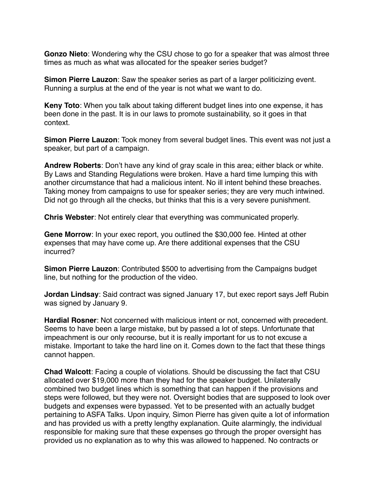**Gonzo Nieto**: Wondering why the CSU chose to go for a speaker that was almost three times as much as what was allocated for the speaker series budget?

**Simon Pierre Lauzon**: Saw the speaker series as part of a larger politicizing event. Running a surplus at the end of the year is not what we want to do.

**Keny Toto**: When you talk about taking different budget lines into one expense, it has been done in the past. It is in our laws to promote sustainability, so it goes in that context.

**Simon Pierre Lauzon**: Took money from several budget lines. This event was not just a speaker, but part of a campaign.

**Andrew Roberts**: Don't have any kind of gray scale in this area; either black or white. By Laws and Standing Regulations were broken. Have a hard time lumping this with another circumstance that had a malicious intent. No ill intent behind these breaches. Taking money from campaigns to use for speaker series; they are very much intwined. Did not go through all the checks, but thinks that this is a very severe punishment.

**Chris Webster**: Not entirely clear that everything was communicated properly.

**Gene Morrow**: In your exec report, you outlined the \$30,000 fee. Hinted at other expenses that may have come up. Are there additional expenses that the CSU incurred?

**Simon Pierre Lauzon**: Contributed \$500 to advertising from the Campaigns budget line, but nothing for the production of the video.

**Jordan Lindsay**: Said contract was signed January 17, but exec report says Jeff Rubin was signed by January 9.

**Hardial Rosner**: Not concerned with malicious intent or not, concerned with precedent. Seems to have been a large mistake, but by passed a lot of steps. Unfortunate that impeachment is our only recourse, but it is really important for us to not excuse a mistake. Important to take the hard line on it. Comes down to the fact that these things cannot happen.

**Chad Walcott**: Facing a couple of violations. Should be discussing the fact that CSU allocated over \$19,000 more than they had for the speaker budget. Unilaterally combined two budget lines which is something that can happen if the provisions and steps were followed, but they were not. Oversight bodies that are supposed to look over budgets and expenses were bypassed. Yet to be presented with an actually budget pertaining to ASFA Talks. Upon inquiry, Simon Pierre has given quite a lot of information and has provided us with a pretty lengthy explanation. Quite alarmingly, the individual responsible for making sure that these expenses go through the proper oversight has provided us no explanation as to why this was allowed to happened. No contracts or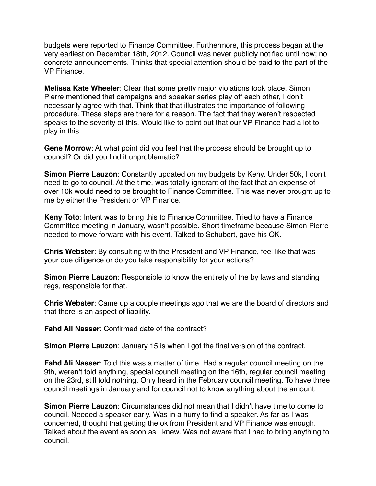budgets were reported to Finance Committee. Furthermore, this process began at the very earliest on December 18th, 2012. Council was never publicly notified until now; no concrete announcements. Thinks that special attention should be paid to the part of the VP Finance.

**Melissa Kate Wheeler**: Clear that some pretty major violations took place. Simon Pierre mentioned that campaigns and speaker series play off each other, I don't necessarily agree with that. Think that that illustrates the importance of following procedure. These steps are there for a reason. The fact that they weren't respected speaks to the severity of this. Would like to point out that our VP Finance had a lot to play in this.

**Gene Morrow**: At what point did you feel that the process should be brought up to council? Or did you find it unproblematic?

**Simon Pierre Lauzon**: Constantly updated on my budgets by Keny. Under 50k, I don't need to go to council. At the time, was totally ignorant of the fact that an expense of over 10k would need to be brought to Finance Committee. This was never brought up to me by either the President or VP Finance.

**Keny Toto**: Intent was to bring this to Finance Committee. Tried to have a Finance Committee meeting in January, wasn't possible. Short timeframe because Simon Pierre needed to move forward with his event. Talked to Schubert, gave his OK.

**Chris Webster**: By consulting with the President and VP Finance, feel like that was your due diligence or do you take responsibility for your actions?

**Simon Pierre Lauzon**: Responsible to know the entirety of the by laws and standing regs, responsible for that.

**Chris Webster**: Came up a couple meetings ago that we are the board of directors and that there is an aspect of liability.

**Fahd Ali Nasser**: Confirmed date of the contract?

**Simon Pierre Lauzon**: January 15 is when I got the final version of the contract.

**Fahd Ali Nasser**: Told this was a matter of time. Had a regular council meeting on the 9th, weren't told anything, special council meeting on the 16th, regular council meeting on the 23rd, still told nothing. Only heard in the February council meeting. To have three council meetings in January and for council not to know anything about the amount.

**Simon Pierre Lauzon**: Circumstances did not mean that I didn't have time to come to council. Needed a speaker early. Was in a hurry to find a speaker. As far as I was concerned, thought that getting the ok from President and VP Finance was enough. Talked about the event as soon as I knew. Was not aware that I had to bring anything to council.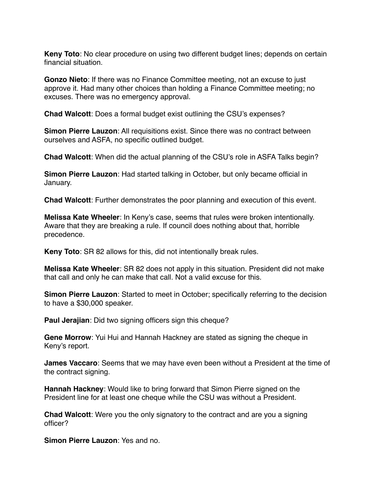**Keny Toto**: No clear procedure on using two different budget lines; depends on certain financial situation.

**Gonzo Nieto**: If there was no Finance Committee meeting, not an excuse to just approve it. Had many other choices than holding a Finance Committee meeting; no excuses. There was no emergency approval.

**Chad Walcott**: Does a formal budget exist outlining the CSU's expenses?

**Simon Pierre Lauzon**: All requisitions exist. Since there was no contract between ourselves and ASFA, no specific outlined budget.

**Chad Walcott**: When did the actual planning of the CSU's role in ASFA Talks begin?

**Simon Pierre Lauzon**: Had started talking in October, but only became official in January.

**Chad Walcott**: Further demonstrates the poor planning and execution of this event.

**Melissa Kate Wheeler**: In Keny's case, seems that rules were broken intentionally. Aware that they are breaking a rule. If council does nothing about that, horrible precedence.

**Keny Toto**: SR 82 allows for this, did not intentionally break rules.

**Melissa Kate Wheeler**: SR 82 does not apply in this situation. President did not make that call and only he can make that call. Not a valid excuse for this.

**Simon Pierre Lauzon**: Started to meet in October; specifically referring to the decision to have a \$30,000 speaker.

**Paul Jerajian**: Did two signing officers sign this cheque?

**Gene Morrow**: Yui Hui and Hannah Hackney are stated as signing the cheque in Keny's report.

**James Vaccaro**: Seems that we may have even been without a President at the time of the contract signing.

**Hannah Hackney**: Would like to bring forward that Simon Pierre signed on the President line for at least one cheque while the CSU was without a President.

**Chad Walcott**: Were you the only signatory to the contract and are you a signing officer?

**Simon Pierre Lauzon**: Yes and no.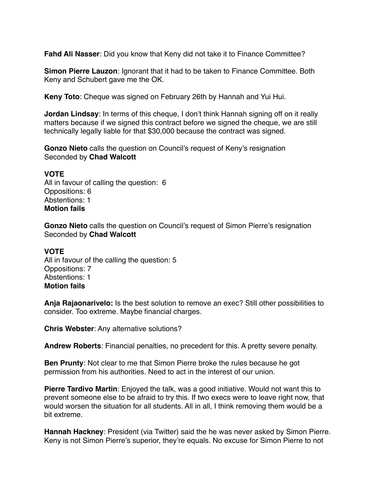**Fahd Ali Nasser**: Did you know that Keny did not take it to Finance Committee?

**Simon Pierre Lauzon**: Ignorant that it had to be taken to Finance Committee. Both Keny and Schubert gave me the OK.

**Keny Toto**: Cheque was signed on February 26th by Hannah and Yui Hui.

**Jordan Lindsay**: In terms of this cheque, I don't think Hannah signing off on it really matters because if we signed this contract before we signed the cheque, we are still technically legally liable for that \$30,000 because the contract was signed.

**Gonzo Nieto** calls the question on Council's request of Keny's resignation Seconded by **Chad Walcott**

## **VOTE**

All in favour of calling the question: 6 Oppositions: 6 Abstentions: 1 **Motion fails** 

**Gonzo Nieto** calls the question on Council's request of Simon Pierre's resignation Seconded by **Chad Walcott**

## **VOTE**

All in favour of the calling the question: 5 Oppositions: 7 Abstentions: 1 **Motion fails** 

**Anja Rajaonarivelo:** Is the best solution to remove an exec? Still other possibilities to consider. Too extreme. Maybe financial charges.

**Chris Webster**: Any alternative solutions?

**Andrew Roberts**: Financial penalties, no precedent for this. A pretty severe penalty.

**Ben Prunty**: Not clear to me that Simon Pierre broke the rules because he got permission from his authorities. Need to act in the interest of our union.

**Pierre Tardivo Martin**: Enjoyed the talk, was a good initiative. Would not want this to prevent someone else to be afraid to try this. If two execs were to leave right now, that would worsen the situation for all students. All in all, I think removing them would be a bit extreme.

**Hannah Hackney**: President (via Twitter) said the he was never asked by Simon Pierre. Keny is not Simon Pierre's superior, they're equals. No excuse for Simon Pierre to not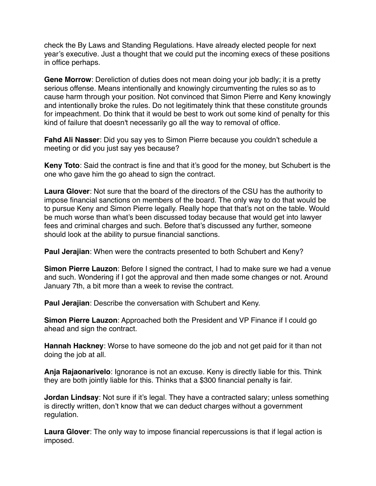check the By Laws and Standing Regulations. Have already elected people for next year's executive. Just a thought that we could put the incoming execs of these positions in office perhaps.

**Gene Morrow**: Dereliction of duties does not mean doing your job badly; it is a pretty serious offense. Means intentionally and knowingly circumventing the rules so as to cause harm through your position. Not convinced that Simon Pierre and Keny knowingly and intentionally broke the rules. Do not legitimately think that these constitute grounds for impeachment. Do think that it would be best to work out some kind of penalty for this kind of failure that doesn't necessarily go all the way to removal of office.

**Fahd Ali Nasser**: Did you say yes to Simon Pierre because you couldn't schedule a meeting or did you just say yes because?

**Keny Toto**: Said the contract is fine and that it's good for the money, but Schubert is the one who gave him the go ahead to sign the contract.

**Laura Glover**: Not sure that the board of the directors of the CSU has the authority to impose financial sanctions on members of the board. The only way to do that would be to pursue Keny and Simon Pierre legally. Really hope that that's not on the table. Would be much worse than what's been discussed today because that would get into lawyer fees and criminal charges and such. Before that's discussed any further, someone should look at the ability to pursue financial sanctions.

**Paul Jerajian**: When were the contracts presented to both Schubert and Keny?

**Simon Pierre Lauzon**: Before I signed the contract, I had to make sure we had a venue and such. Wondering if I got the approval and then made some changes or not. Around January 7th, a bit more than a week to revise the contract.

**Paul Jerajian**: Describe the conversation with Schubert and Keny.

**Simon Pierre Lauzon**: Approached both the President and VP Finance if I could go ahead and sign the contract.

**Hannah Hackney**: Worse to have someone do the job and not get paid for it than not doing the job at all.

**Anja Rajaonarivelo**: Ignorance is not an excuse. Keny is directly liable for this. Think they are both jointly liable for this. Thinks that a \$300 financial penalty is fair.

**Jordan Lindsay**: Not sure if it's legal. They have a contracted salary; unless something is directly written, don't know that we can deduct charges without a government regulation.

**Laura Glover**: The only way to impose financial repercussions is that if legal action is imposed.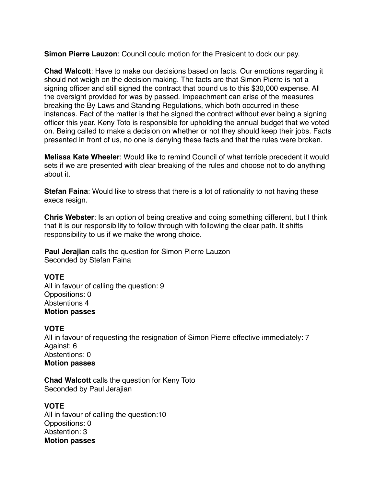**Simon Pierre Lauzon**: Council could motion for the President to dock our pay.

**Chad Walcott**: Have to make our decisions based on facts. Our emotions regarding it should not weigh on the decision making. The facts are that Simon Pierre is not a signing officer and still signed the contract that bound us to this \$30,000 expense. All the oversight provided for was by passed. Impeachment can arise of the measures breaking the By Laws and Standing Regulations, which both occurred in these instances. Fact of the matter is that he signed the contract without ever being a signing officer this year. Keny Toto is responsible for upholding the annual budget that we voted on. Being called to make a decision on whether or not they should keep their jobs. Facts presented in front of us, no one is denying these facts and that the rules were broken.

**Melissa Kate Wheeler**: Would like to remind Council of what terrible precedent it would sets if we are presented with clear breaking of the rules and choose not to do anything about it.

**Stefan Faina**: Would like to stress that there is a lot of rationality to not having these execs resign.

**Chris Webster**: Is an option of being creative and doing something different, but I think that it is our responsibility to follow through with following the clear path. It shifts responsibility to us if we make the wrong choice.

**Paul Jerajian** calls the question for Simon Pierre Lauzon Seconded by Stefan Faina

## **VOTE**

All in favour of calling the question: 9 Oppositions: 0 Abstentions 4 **Motion passes** 

## **VOTE**

All in favour of requesting the resignation of Simon Pierre effective immediately: 7 Against: 6 Abstentions: 0 **Motion passes** 

**Chad Walcott** calls the question for Keny Toto Seconded by Paul Jerajian

## **VOTE**

All in favour of calling the question:10 Oppositions: 0 Abstention: 3 **Motion passes**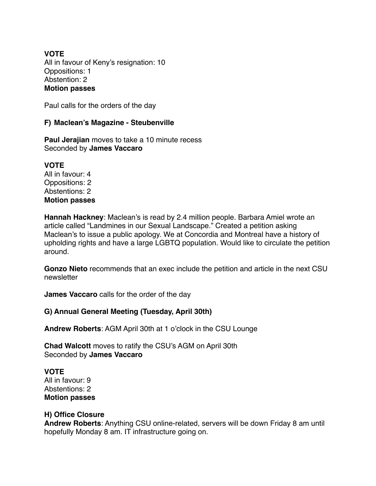## **VOTE** All in favour of Keny's resignation: 10 Oppositions: 1 Abstention: 2 **Motion passes**

Paul calls for the orders of the day

## **F) Maclean's Magazine - Steubenville**

**Paul Jerajian** moves to take a 10 minute recess Seconded by **James Vaccaro** 

**VOTE** All in favour: 4 Oppositions: 2 Abstentions: 2 **Motion passes** 

**Hannah Hackney**: Maclean's is read by 2.4 million people. Barbara Amiel wrote an article called "Landmines in our Sexual Landscape." Created a petition asking Maclean's to issue a public apology. We at Concordia and Montreal have a history of upholding rights and have a large LGBTQ population. Would like to circulate the petition around.

**Gonzo Nieto** recommends that an exec include the petition and article in the next CSU newsletter

**James Vaccaro** calls for the order of the day

## **G) Annual General Meeting (Tuesday, April 30th)**

**Andrew Roberts**: AGM April 30th at 1 o'clock in the CSU Lounge

**Chad Walcott** moves to ratify the CSU's AGM on April 30th Seconded by **James Vaccaro**

**VOTE**

All in favour: 9 Abstentions: 2 **Motion passes** 

## **H) Office Closure**

**Andrew Roberts**: Anything CSU online-related, servers will be down Friday 8 am until hopefully Monday 8 am. IT infrastructure going on.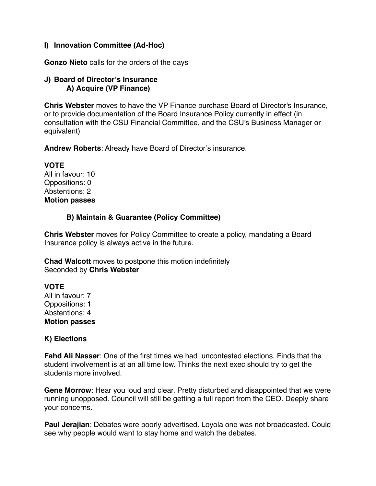# **I) Innovation Committee (Ad-Hoc)**

**Gonzo Nieto** calls for the orders of the days

## **J) Board of Director's Insurance A) Acquire (VP Finance)**

**Chris Webster** moves to have the VP Finance purchase Board of Director's Insurance, or to provide documentation of the Board Insurance Policy currently in effect (in consultation with the CSU Financial Committee, and the CSU's Business Manager or equivalent)

**Andrew Roberts**: Already have Board of Director's insurance.

**VOTE** All in favour: 10 Oppositions: 0 Abstentions: 2 **Motion passes** 

# **B) Maintain & Guarantee (Policy Committee)**

**Chris Webster** moves for Policy Committee to create a policy, mandating a Board Insurance policy is always active in the future.

**Chad Walcott** moves to postpone this motion indefinitely Seconded by **Chris Webster** 

# **VOTE**

All in favour: 7 Oppositions: 1 Abstentions: 4 **Motion passes** 

# **K) Elections**

**Fahd Ali Nasser**: One of the first times we had uncontested elections. Finds that the student involvement is at an all time low. Thinks the next exec should try to get the students more involved.

**Gene Morrow**: Hear you loud and clear. Pretty disturbed and disappointed that we were running unopposed. Council will still be getting a full report from the CEO. Deeply share your concerns.

**Paul Jerajian**: Debates were poorly advertised. Loyola one was not broadcasted. Could see why people would want to stay home and watch the debates.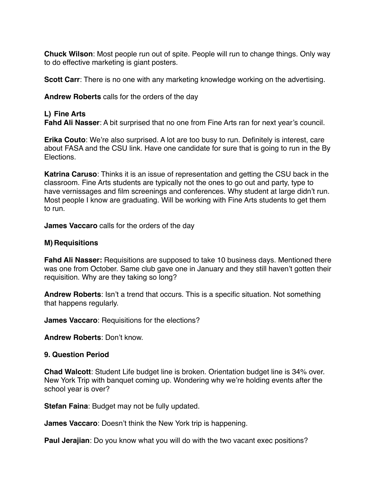**Chuck Wilson**: Most people run out of spite. People will run to change things. Only way to do effective marketing is giant posters.

**Scott Carr**: There is no one with any marketing knowledge working on the advertising.

**Andrew Roberts** calls for the orders of the day

### **L) Fine Arts**

**Fahd Ali Nasser**: A bit surprised that no one from Fine Arts ran for next year's council.

**Erika Couto**: We're also surprised. A lot are too busy to run. Definitely is interest, care about FASA and the CSU link. Have one candidate for sure that is going to run in the By Elections.

**Katrina Caruso**: Thinks it is an issue of representation and getting the CSU back in the classroom. Fine Arts students are typically not the ones to go out and party, type to have vernissages and film screenings and conferences. Why student at large didn't run. Most people I know are graduating. Will be working with Fine Arts students to get them to run.

**James Vaccaro** calls for the orders of the day

#### **M) Requisitions**

**Fahd Ali Nasser:** Requisitions are supposed to take 10 business days. Mentioned there was one from October. Same club gave one in January and they still haven't gotten their requisition. Why are they taking so long?

**Andrew Roberts**: Isn't a trend that occurs. This is a specific situation. Not something that happens regularly.

**James Vaccaro**: Requisitions for the elections?

**Andrew Roberts**: Don't know.

### **9. Question Period**

**Chad Walcott**: Student Life budget line is broken. Orientation budget line is 34% over. New York Trip with banquet coming up. Wondering why we're holding events after the school year is over?

**Stefan Faina**: Budget may not be fully updated.

**James Vaccaro**: Doesn't think the New York trip is happening.

**Paul Jerajian**: Do you know what you will do with the two vacant exec positions?